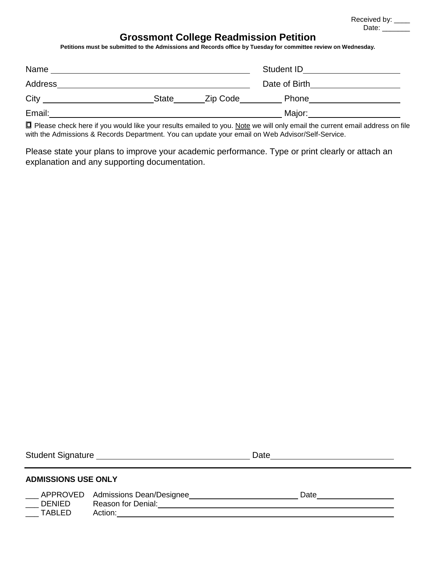Received by: \_\_\_\_ Date: \_\_\_\_\_\_\_\_\_

# **Grossmont College Readmission Petition**

**Petitions must be submitted to the Admissions and Records office by Tuesday for committee review on Wednesday.** 

| Name    |              |          | Student ID    |  |
|---------|--------------|----------|---------------|--|
| Address |              |          | Date of Birth |  |
| City    | <b>State</b> | Zip Code | Phone         |  |
| Email:  |              |          | Major:        |  |

■ Please check here if you would like your results emailed to you. Note we will only email the current email address on file with the Admissions & Records Department. You can update your email on Web Advisor/Self-Service.

Please state your plans to improve your academic performance. Type or print clearly or attach an explanation and any supporting documentation.

| <b>ADMISSIONS USE ONLY</b>     |                                                                            |  |      |  |  |
|--------------------------------|----------------------------------------------------------------------------|--|------|--|--|
| <b>DENIED</b><br><b>TABLED</b> | _APPROVED Admissions Dean/Designee<br><b>Reason for Denial:</b><br>Action: |  | Date |  |  |

Student Signature Date